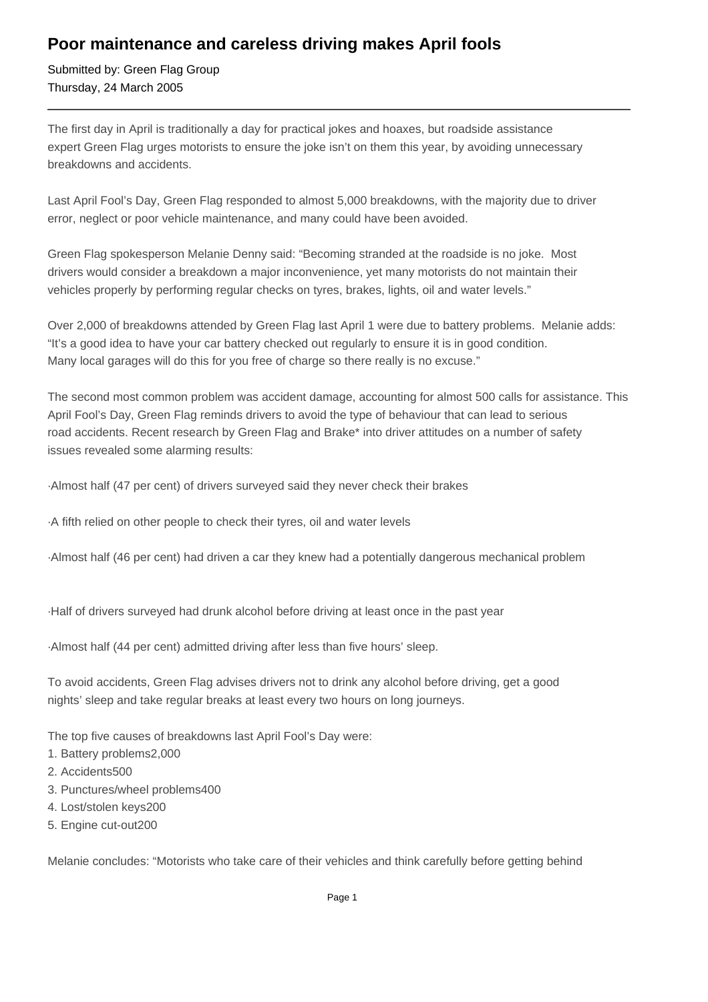## **Poor maintenance and careless driving makes April fools**

Submitted by: Green Flag Group Thursday, 24 March 2005

The first day in April is traditionally a day for practical jokes and hoaxes, but roadside assistance expert Green Flag urges motorists to ensure the joke isn't on them this year, by avoiding unnecessary breakdowns and accidents.

Last April Fool's Day, Green Flag responded to almost 5,000 breakdowns, with the majority due to driver error, neglect or poor vehicle maintenance, and many could have been avoided.

Green Flag spokesperson Melanie Denny said: "Becoming stranded at the roadside is no joke. Most drivers would consider a breakdown a major inconvenience, yet many motorists do not maintain their vehicles properly by performing regular checks on tyres, brakes, lights, oil and water levels."

Over 2,000 of breakdowns attended by Green Flag last April 1 were due to battery problems. Melanie adds: "It's a good idea to have your car battery checked out regularly to ensure it is in good condition. Many local garages will do this for you free of charge so there really is no excuse."

The second most common problem was accident damage, accounting for almost 500 calls for assistance. This April Fool's Day, Green Flag reminds drivers to avoid the type of behaviour that can lead to serious road accidents. Recent research by Green Flag and Brake\* into driver attitudes on a number of safety issues revealed some alarming results:

· Almost half (47 per cent) of drivers surveyed said they never check their brakes

· A fifth relied on other people to check their tyres, oil and water levels

- · Almost half (46 per cent) had driven a car they knew had a potentially dangerous mechanical problem
- · Half of drivers surveyed had drunk alcohol before driving at least once in the past year

· Almost half (44 per cent) admitted driving after less than five hours' sleep.

To avoid accidents, Green Flag advises drivers not to drink any alcohol before driving, get a good nights' sleep and take regular breaks at least every two hours on long journeys.

The top five causes of breakdowns last April Fool's Day were:

- 1. Battery problems 2,000
- 2. Accidents 500
- 3. Punctures/wheel problems 400
- 4. Lost/stolen keys 200
- 5. Engine cut-out 200

Melanie concludes: "Motorists who take care of their vehicles and think carefully before getting behind